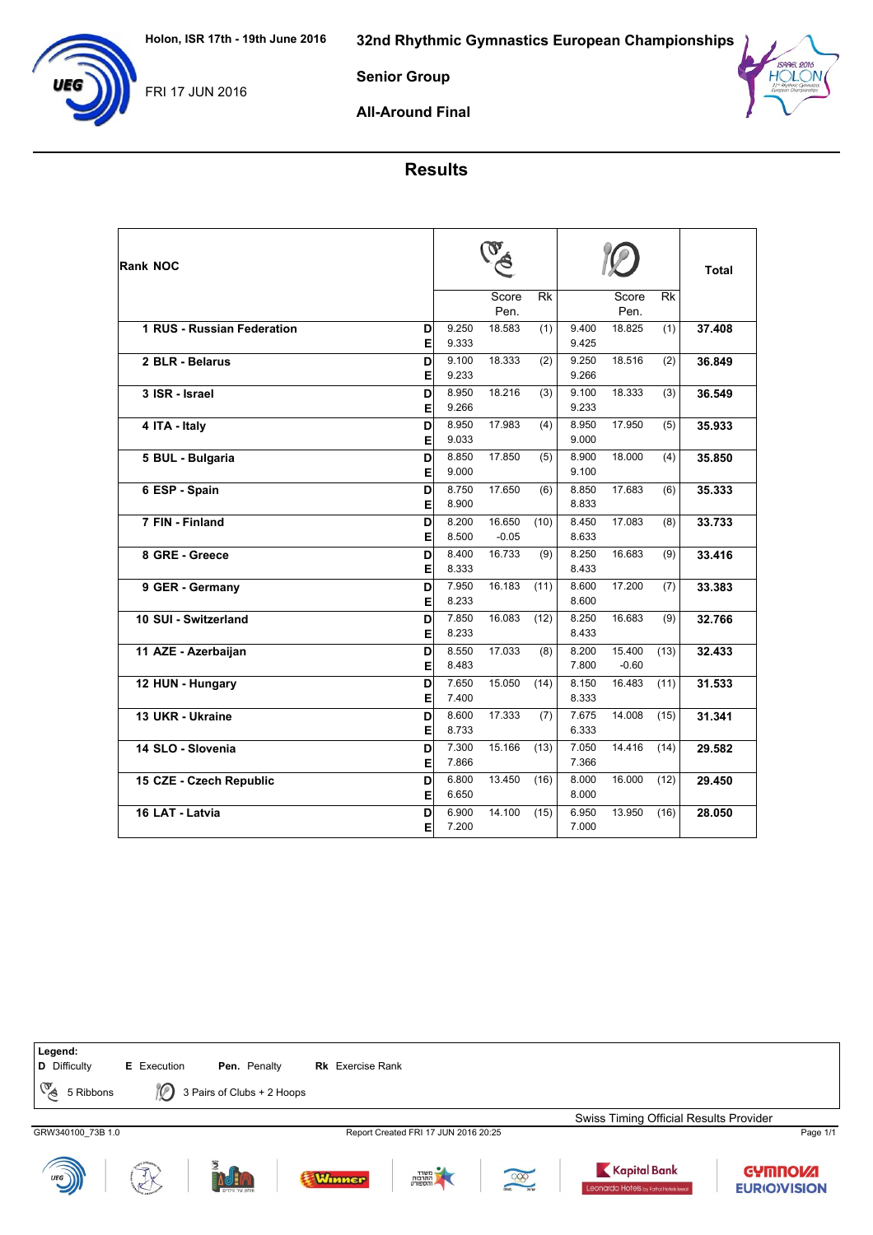

Senior Group

All-Around Final

## Results

| Rank NOC                             |                | $\mathbf v$       |      |                |                   |      | <b>Total</b> |
|--------------------------------------|----------------|-------------------|------|----------------|-------------------|------|--------------|
|                                      |                | Score<br>Pen.     | Rk   |                | Score<br>Pen.     | Rk   |              |
| 1 RUS - Russian Federation<br>D<br>E | 9.250<br>9.333 | 18.583            | (1)  | 9.400<br>9.425 | 18.825            | (1)  | 37.408       |
| 2 BLR - Belarus<br>D                 | 9.100          | 18.333            | (2)  | 9.250          | 18.516            | (2)  | 36.849       |
| E                                    | 9.233          |                   |      | 9.266          |                   |      |              |
| 3 ISR - Israel<br>D<br>E             | 8.950<br>9.266 | 18.216            | (3)  | 9.100<br>9.233 | 18.333            | (3)  | 36.549       |
| D<br>4 ITA - Italy<br>E              | 8.950<br>9.033 | 17.983            | (4)  | 8.950<br>9.000 | 17.950            | (5)  | 35.933       |
| 5 BUL - Bulgaria<br>D<br>E           | 8.850<br>9.000 | 17.850            | (5)  | 8.900<br>9.100 | 18.000            | (4)  | 35.850       |
| 6 ESP - Spain<br>D<br>E              | 8.750<br>8.900 | 17.650            | (6)  | 8.850<br>8.833 | 17.683            | (6)  | 35.333       |
| 7 FIN - Finland<br>D<br>Е            | 8.200<br>8.500 | 16.650<br>$-0.05$ | (10) | 8.450<br>8.633 | 17.083            | (8)  | 33.733       |
| 8 GRE - Greece<br>D<br>E             | 8.400<br>8.333 | 16.733            | (9)  | 8.250<br>8.433 | 16.683            | (9)  | 33.416       |
| D<br>9 GER - Germany<br>E            | 7.950<br>8.233 | 16.183            | (11) | 8.600<br>8.600 | 17.200            | (7)  | 33.383       |
| 10 SUI - Switzerland<br>D<br>E       | 7.850<br>8.233 | 16.083            | (12) | 8.250<br>8.433 | 16.683            | (9)  | 32.766       |
| D<br>11 AZE - Azerbaijan<br>E        | 8.550<br>8.483 | 17.033            | (8)  | 8.200<br>7.800 | 15.400<br>$-0.60$ | (13) | 32.433       |
| D<br>12 HUN - Hungary<br>E           | 7.650<br>7.400 | 15.050            | (14) | 8.150<br>8.333 | 16.483            | (11) | 31.533       |
| 13 UKR - Ukraine<br>D<br>E           | 8.600<br>8.733 | 17.333            | (7)  | 7.675<br>6.333 | 14.008            | (15) | 31.341       |
| 14 SLO - Slovenia<br>D<br>E          | 7.300<br>7.866 | 15.166            | (13) | 7.050<br>7.366 | 14.416            | (14) | 29.582       |
| D<br>15 CZE - Czech Republic<br>E    | 6.800<br>6.650 | 13.450            | (16) | 8.000<br>8.000 | 16.000            | (12) | 29.450       |
| 16 LAT - Latvia<br>D<br>E            | 6.900<br>7.200 | 14.100            | (15) | 6.950<br>7.000 | 13.950            | (16) | 28.050       |



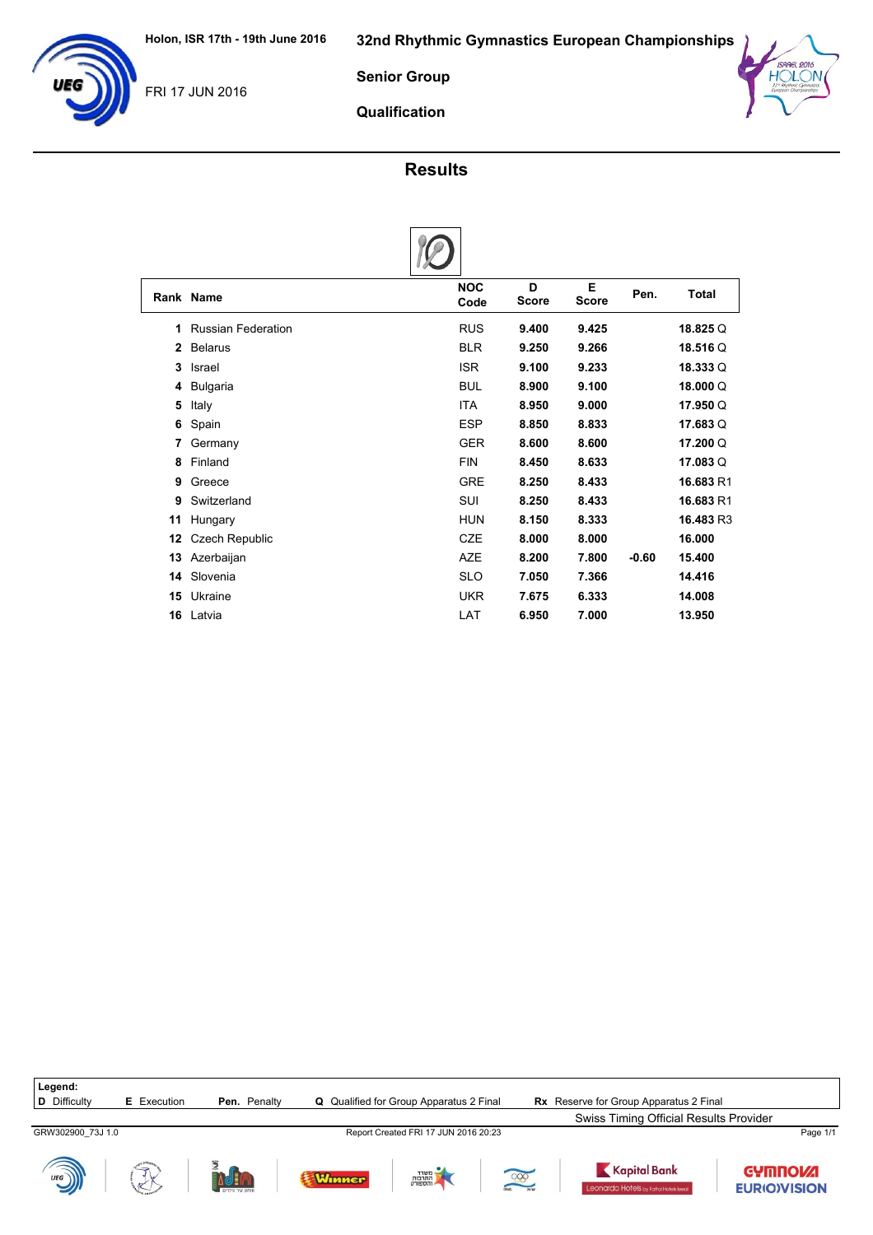

Senior Group



Qualification

## Results

|              | Rank Name                 | <b>NOC</b><br>Code | D<br><b>Score</b> | Е<br><b>Score</b> | Pen.    | <b>Total</b> |
|--------------|---------------------------|--------------------|-------------------|-------------------|---------|--------------|
| 1            | <b>Russian Federation</b> | <b>RUS</b>         | 9.400             | 9.425             |         | 18.825 Q     |
| $\mathbf{2}$ | <b>Belarus</b>            | <b>BLR</b>         | 9.250             | 9.266             |         | 18.516 Q     |
| 3            | Israel                    | <b>ISR</b>         | 9.100             | 9.233             |         | 18.333 Q     |
| 4            | Bulgaria                  | <b>BUL</b>         | 8.900             | 9.100             |         | 18,000 Q     |
| 5            | Italy                     | <b>ITA</b>         | 8.950             | 9.000             |         | 17.950 Q     |
| 6            | Spain                     | <b>ESP</b>         | 8.850             | 8.833             |         | 17.683 Q     |
| 7            | Germany                   | <b>GER</b>         | 8.600             | 8.600             |         | 17.200 Q     |
| 8            | Finland                   | <b>FIN</b>         | 8.450             | 8.633             |         | 17.083Q      |
| 9            | Greece                    | <b>GRE</b>         | 8.250             | 8.433             |         | 16.683 R1    |
| 9            | Switzerland               | SUI                | 8.250             | 8.433             |         | 16.683 R1    |
| 11           | Hungary                   | <b>HUN</b>         | 8.150             | 8.333             |         | 16.483 R3    |
| 12           | <b>Czech Republic</b>     | <b>CZE</b>         | 8.000             | 8.000             |         | 16.000       |
| 13           | Azerbaijan                | <b>AZE</b>         | 8.200             | 7.800             | $-0.60$ | 15.400       |
| 14           | Slovenia                  | <b>SLO</b>         | 7.050             | 7.366             |         | 14.416       |
| 15           | Ukraine                   | <b>UKR</b>         | 7.675             | 6.333             |         | 14.008       |
| 16           | Latvia                    | LAT                | 6.950             | 7.000             |         | 13.950       |